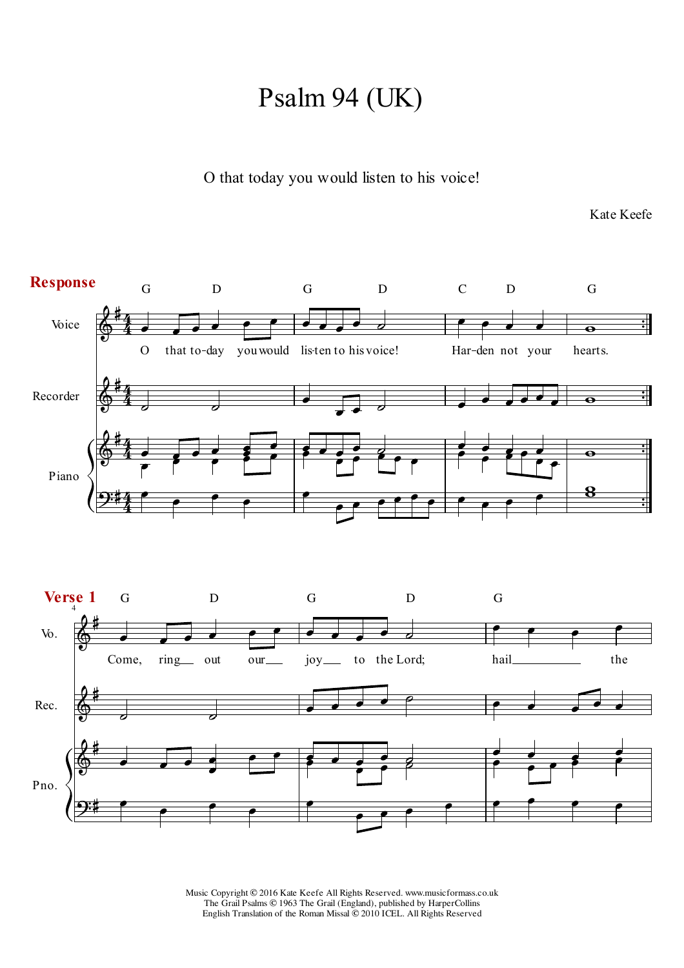## Psalm 94 (UK)

O that today you would listen to his voice!

Kate Keefe

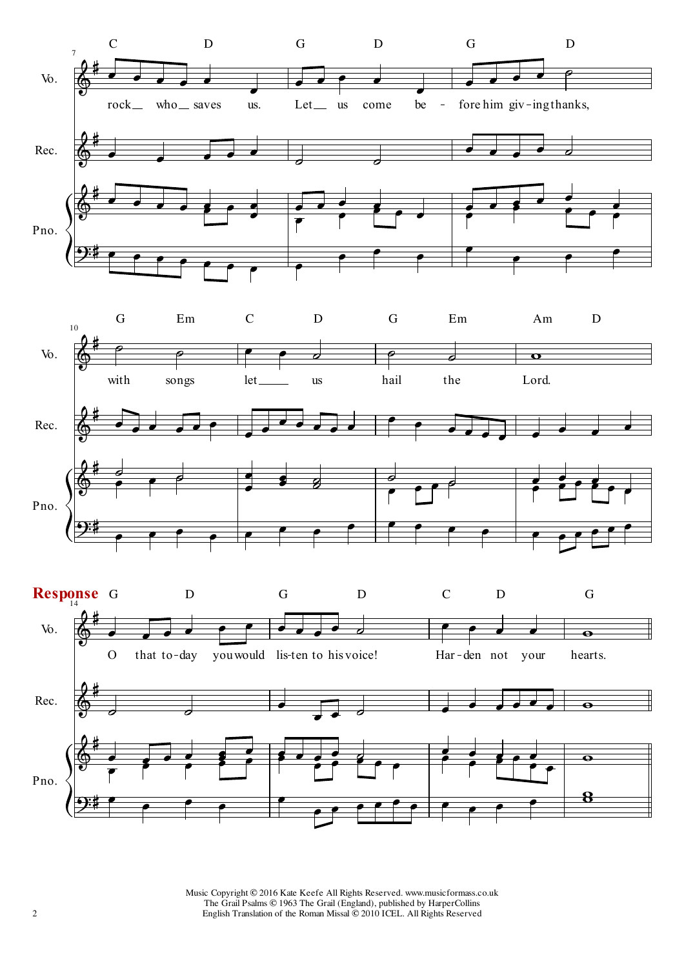



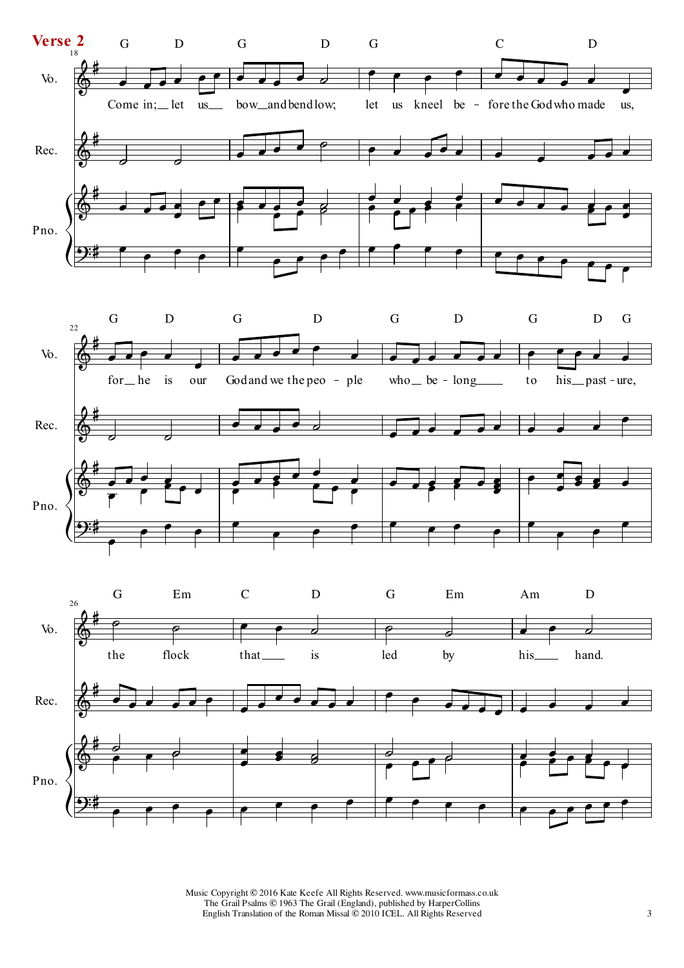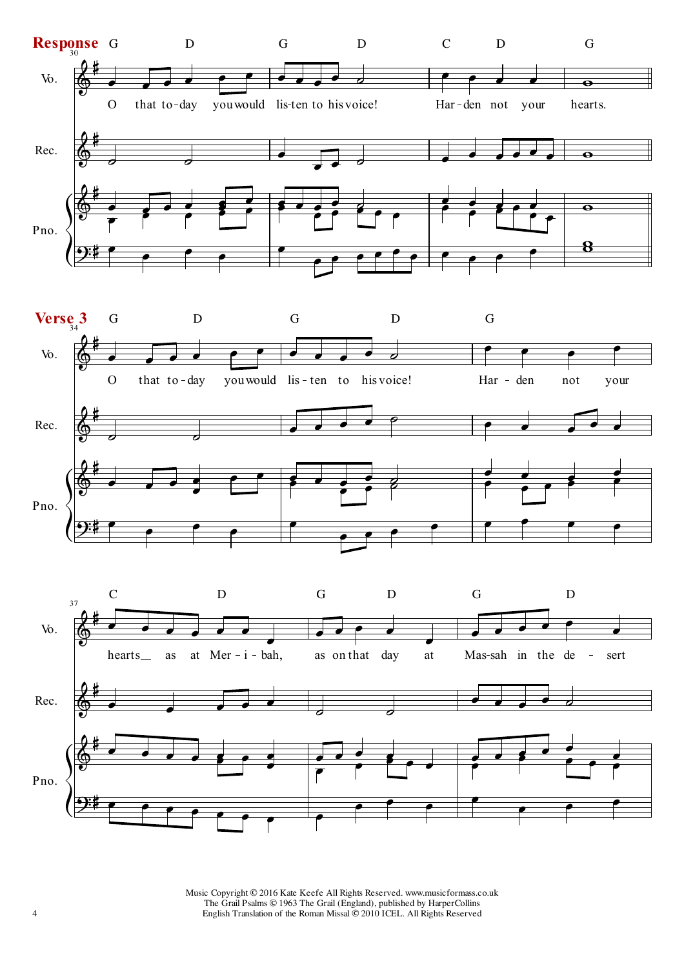